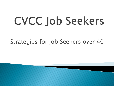# CVCC Job Seekers

### Strategies for Job Seekers over 40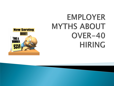## **EMPLOYER MYTHS ABOUT** OVER-40 **HIRING**

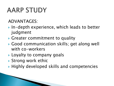### **AARP STUDY**

#### ADVANTAGES:

- ▶ In-depth experience, which leads to better judgment
- Greater commitment to quality
- Good communication skills; get along well with co-workers
- **Loyalty to company goals**
- ▶ Strong work ethic
- ▶ Highly developed skills and competencies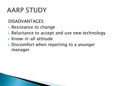### **AARP STUDY**

DISADVANTAGES:

- ▶ Resistance to change
- ▶ Reluctance to accept and use new technology
- Know-it-all attitude
- ▶ Discomfort when reporting to a younger manager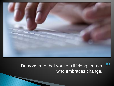

 $\sum$ Demonstrate that you're a lifelong learner who embraces change.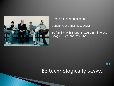

Create a Linked In account

Update your e-mail (lose AOL)

Be familiar with Skype, Instagram, Pinterest, Google Drive, and YouTube

Be technologically savvy.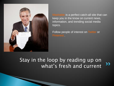

Mashable is a perfect catch-all site that can keep you in the know on current news, information, and trending social media topics.

Follow people of interest on Twitter or Pinterest..

#### Stay in the loop by reading up on  $\rightarrow$ what's fresh and current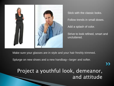

Stick with the classic looks. Follow trends in small doses. Add a splash of color.

Strive to look refined, smart and uncluttered.

Make sure your glasses are in style and your hair freshly trimmed.

Splurge on new shoes and a new handbag—larger and softer.

Project a youthful look, demeanor, and attitude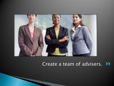

#### Create a team of advisers. >>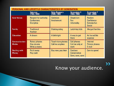|                                      | Veterans<br>(1922–1945)                                                | Baby Boomers<br>(1946–1964)                 | Generation X<br>(1965–1980)                  | Generation Y<br>(1981–2000)                                  |
|--------------------------------------|------------------------------------------------------------------------|---------------------------------------------|----------------------------------------------|--------------------------------------------------------------|
| <b>Core Values</b>                   | <b>Respect for authority</b><br><b>Conformers</b><br><b>Discipline</b> | <b>Optimism</b><br><b>Involvement</b>       | Skepticism<br><b>Fun</b><br>Informality      | <b>Realism</b><br>Confidence<br><b>Extreme fun</b><br>Social |
| Family                               | <b>Traditional</b><br><b>Nuclear</b>                                   | <b>Disintegrating</b>                       | Latch-key kids                               | <b>Merged families</b>                                       |
| <b>Education</b>                     | A dream                                                                | A birthright                                | A way to get<br>there                        | An incredible<br>expense                                     |
| <b>Communication</b><br><b>Media</b> | Rotary phones<br>One-on-one<br>Write a memo                            | <b>Touch-tone phones</b><br>Call me anytime | Cell phones<br>Call me only at<br>work       | Internet<br>Picture phones<br>E-mail                         |
| <b>Dealing with</b><br>Money         | Put it away<br>Pay cash                                                | Buy now, pay later                          | Cautious<br>Conservative<br>Save, save, save | Earn to spend                                                |

Know your audience.

 $\sum$